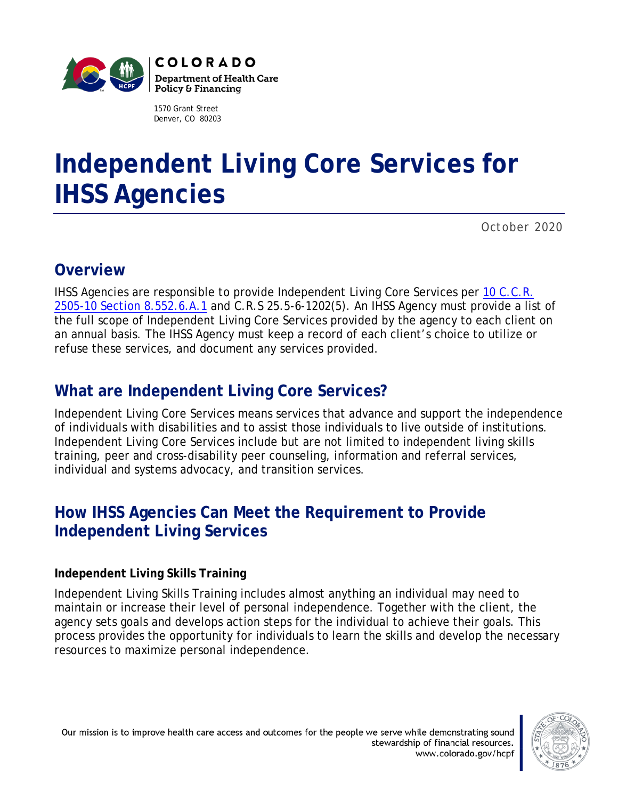

1570 Grant Street Denver, CO 80203

# **Independent Living Core Services for IHSS Agencies**

*October 2020*

# **Overview**

IHSS Agencies are responsible to provide Independent Living Core Services per [10 C.C.R.](https://www.colorado.gov/pacific/sites/default/files/Approved%202019%20IHSS%20Rules%20MSB.pdf)  [2505-10 Section 8.552.6.A.1](https://www.colorado.gov/pacific/sites/default/files/Approved%202019%20IHSS%20Rules%20MSB.pdf) and C.R.S 25.5-6-1202(5). An IHSS Agency must provide a list of the full scope of Independent Living Core Services provided by the agency to each client on an annual basis. The IHSS Agency must keep a record of each client's choice to utilize or refuse these services, and document any services provided.

# **What are Independent Living Core Services?**

Independent Living Core Services means services that advance and support the independence of individuals with disabilities and to assist those individuals to live outside of institutions. Independent Living Core Services include but are not limited to independent living skills training, peer and cross-disability peer counseling, information and referral services, individual and systems advocacy, and transition services.

# **How IHSS Agencies Can Meet the Requirement to Provide Independent Living Services**

#### **Independent Living Skills Training**

Independent Living Skills Training includes almost anything an individual may need to maintain or increase their level of personal independence. Together with the client, the agency sets goals and develops action steps for the individual to achieve their goals. This process provides the opportunity for individuals to learn the skills and develop the necessary resources to maximize personal independence.

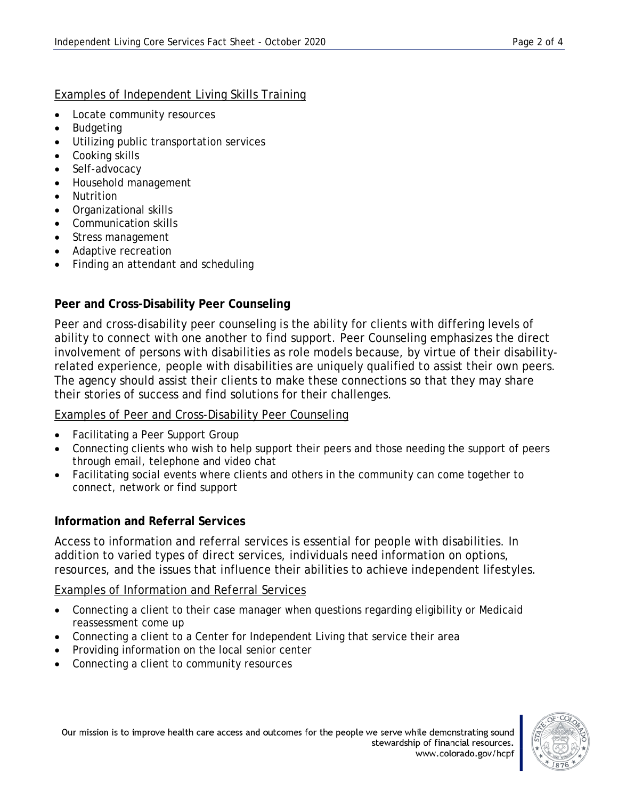#### Examples of Independent Living Skills Training

- Locate community resources
- Budgeting
- Utilizing public transportation services
- Cooking skills
- Self-advocacy
- Household management
- Nutrition
- Organizational skills
- Communication skills
- Stress management
- Adaptive recreation
- Finding an attendant and scheduling

#### **Peer and Cross-Disability Peer Counseling**

Peer and cross-disability peer counseling is the ability for clients with differing levels of ability to connect with one another to find support. Peer Counseling emphasizes the direct involvement of persons with disabilities as role models because, by virtue of their disabilityrelated experience, people with disabilities are uniquely qualified to assist their own peers. The agency should assist their clients to make these connections so that they may share their stories of success and find solutions for their challenges.

#### Examples of Peer and Cross-Disability Peer Counseling

- Facilitating a Peer Support Group
- Connecting clients who wish to help support their peers and those needing the support of peers through email, telephone and video chat
- Facilitating social events where clients and others in the community can come together to connect, network or find support

### **Information and Referral Services**

Access to information and referral services is essential for people with disabilities. In addition to varied types of direct services, individuals need information on options, resources, and the issues that influence their abilities to achieve independent lifestyles.

#### Examples of Information and Referral Services

- Connecting a client to their case manager when questions regarding eligibility or Medicaid reassessment come up
- Connecting a client to a Center for Independent Living that service their area
- Providing information on the local senior center
- Connecting a client to community resources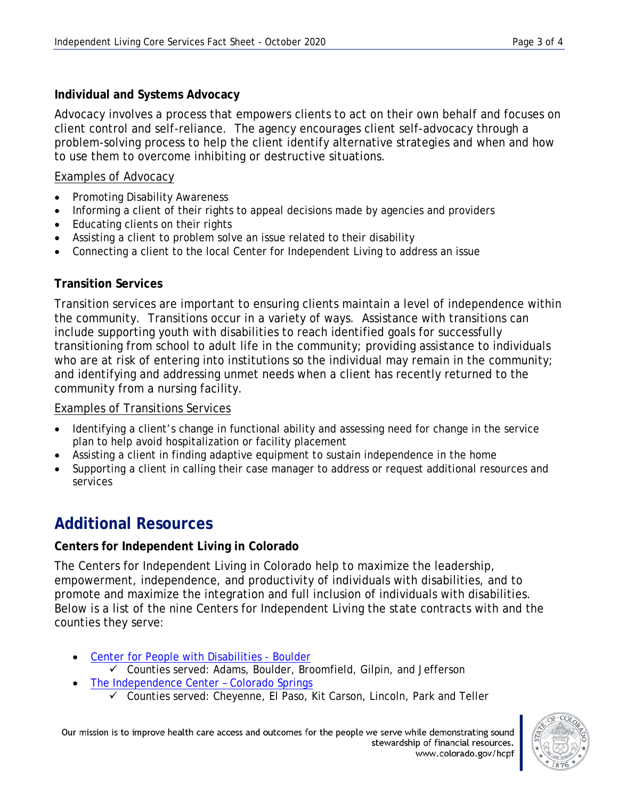#### **Individual and Systems Advocacy**

Advocacy involves a process that empowers clients to act on their own behalf and focuses on client control and self-reliance. The agency encourages client self-advocacy through a problem-solving process to help the client identify alternative strategies and when and how to use them to overcome inhibiting or destructive situations.

#### Examples of Advocacy

- Promoting Disability Awareness
- Informing a client of their rights to appeal decisions made by agencies and providers
- Educating clients on their rights
- Assisting a client to problem solve an issue related to their disability
- Connecting a client to the local Center for Independent Living to address an issue

#### **Transition Services**

Transition services are important to ensuring clients maintain a level of independence within the community. Transitions occur in a variety of ways. Assistance with transitions can include supporting youth with disabilities to reach identified goals for successfully transitioning from school to adult life in the community; providing assistance to individuals who are at risk of entering into institutions so the individual may remain in the community; and identifying and addressing unmet needs when a client has recently returned to the community from a nursing facility.

#### Examples of Transitions Services

- Identifying a client's change in functional ability and assessing need for change in the service plan to help avoid hospitalization or facility placement
- Assisting a client in finding adaptive equipment to sustain independence in the home
- Supporting a client in calling their case manager to address or request additional resources and services

# **Additional Resources**

#### **Centers for Independent Living in Colorado**

The Centers for Independent Living in Colorado help to maximize the leadership, empowerment, independence, and productivity of individuals with disabilities, and to promote and maximize the integration and full inclusion of individuals with disabilities. Below is a list of the nine Centers for Independent Living the state contracts with and the counties they serve:

- [Center for People with Disabilities -](http://www.cpwd.org/) Boulder
	- $\checkmark$  Counties served: Adams, Boulder, Broomfield, Gilpin, and Jefferson
- [The Independence Center –](http://www.theindependencecenter.org/) Colorado Springs
	- Counties served: Cheyenne, El Paso, Kit Carson, Lincoln, Park and Teller